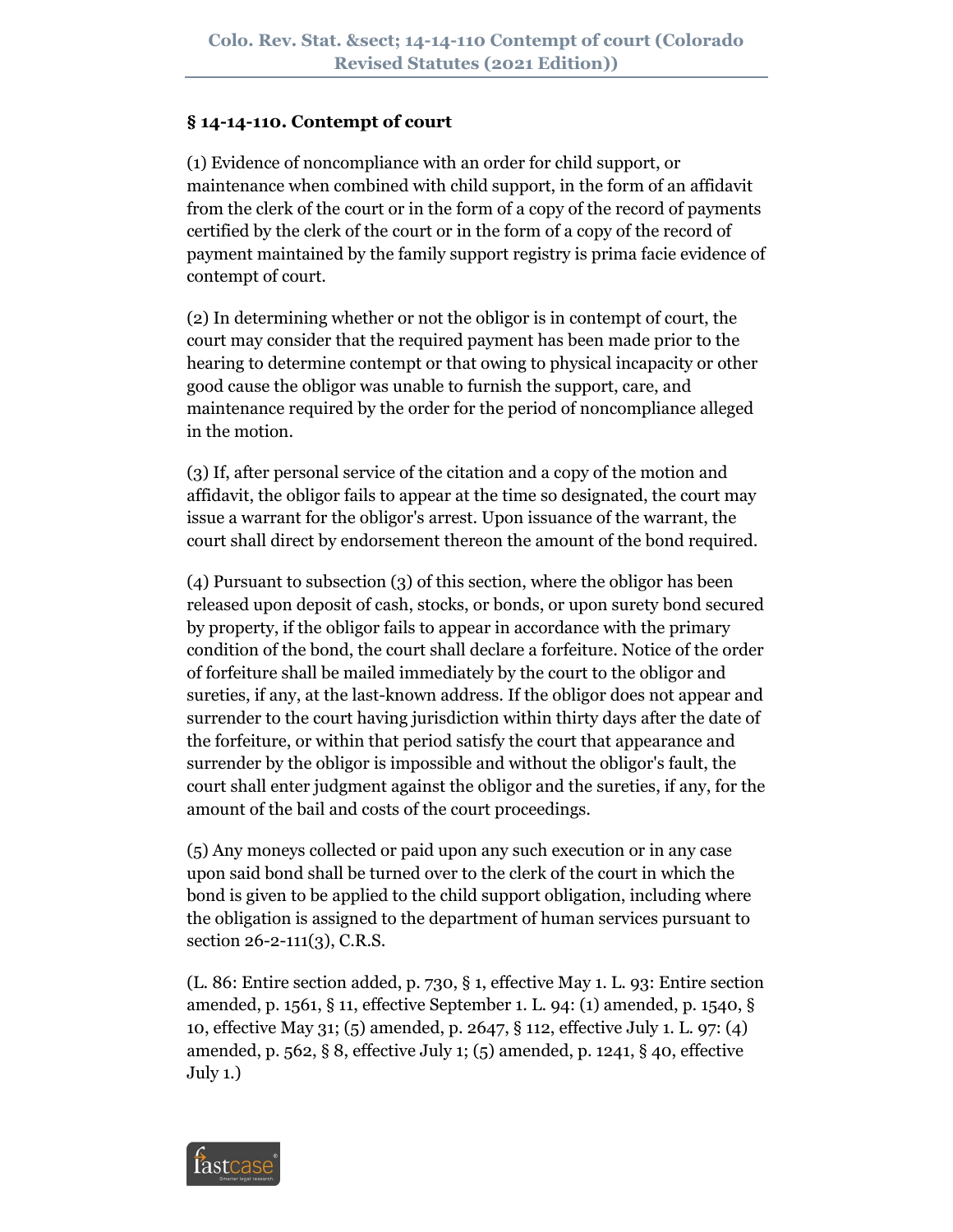## **§ 14-14-110. Contempt of court**

(1) Evidence of noncompliance with an order for child support, or maintenance when combined with child support, in the form of an affidavit from the clerk of the court or in the form of a copy of the record of payments certified by the clerk of the court or in the form of a copy of the record of payment maintained by the family support registry is prima facie evidence of contempt of court.

(2) In determining whether or not the obligor is in contempt of court, the court may consider that the required payment has been made prior to the hearing to determine contempt or that owing to physical incapacity or other good cause the obligor was unable to furnish the support, care, and maintenance required by the order for the period of noncompliance alleged in the motion.

(3) If, after personal service of the citation and a copy of the motion and affidavit, the obligor fails to appear at the time so designated, the court may issue a warrant for the obligor's arrest. Upon issuance of the warrant, the court shall direct by endorsement thereon the amount of the bond required.

(4) Pursuant to subsection (3) of this section, where the obligor has been released upon deposit of cash, stocks, or bonds, or upon surety bond secured by property, if the obligor fails to appear in accordance with the primary condition of the bond, the court shall declare a forfeiture. Notice of the order of forfeiture shall be mailed immediately by the court to the obligor and sureties, if any, at the last-known address. If the obligor does not appear and surrender to the court having jurisdiction within thirty days after the date of the forfeiture, or within that period satisfy the court that appearance and surrender by the obligor is impossible and without the obligor's fault, the court shall enter judgment against the obligor and the sureties, if any, for the amount of the bail and costs of the court proceedings.

(5) Any moneys collected or paid upon any such execution or in any case upon said bond shall be turned over to the clerk of the court in which the bond is given to be applied to the child support obligation, including where the obligation is assigned to the department of human services pursuant to section 26-2-111(3), C.R.S.

(L. 86: Entire section added, p. 730, § 1, effective May 1. L. 93: Entire section amended, p. 1561, § 11, effective September 1. L. 94: (1) amended, p. 1540, § 10, effective May 31; (5) amended, p. 2647, § 112, effective July 1. L. 97: (4) amended, p. 562, § 8, effective July 1; (5) amended, p. 1241, § 40, effective July 1.)